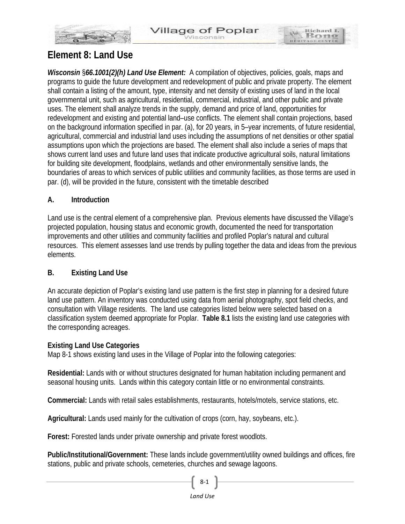Richard I.

**Bon** 

HERITAGE CE



# **Element 8: Land Use**

*Wisconsin* §*66.1001(2)(h) Land Use Element:* A compilation of objectives, policies, goals, maps and programs to guide the future development and redevelopment of public and private property. The element shall contain a listing of the amount, type, intensity and net density of existing uses of land in the local governmental unit, such as agricultural, residential, commercial, industrial, and other public and private uses. The element shall analyze trends in the supply, demand and price of land, opportunities for redevelopment and existing and potential land–use conflicts. The element shall contain projections, based on the background information specified in par. (a), for 20 years, in 5–year increments, of future residential, agricultural, commercial and industrial land uses including the assumptions of net densities or other spatial assumptions upon which the projections are based. The element shall also include a series of maps that shows current land uses and future land uses that indicate productive agricultural soils, natural limitations for building site development, floodplains, wetlands and other environmentally sensitive lands, the boundaries of areas to which services of public utilities and community facilities, as those terms are used in par. (d), will be provided in the future, consistent with the timetable described

# **A. Introduction**

Land use is the central element of a comprehensive plan. Previous elements have discussed the Village's projected population, housing status and economic growth, documented the need for transportation improvements and other utilities and community facilities and profiled Poplar's natural and cultural resources. This element assesses land use trends by pulling together the data and ideas from the previous elements.

# **B. Existing Land Use**

An accurate depiction of Poplar's existing land use pattern is the first step in planning for a desired future land use pattern. An inventory was conducted using data from aerial photography, spot field checks, and consultation with Village residents. The land use categories listed below were selected based on a classification system deemed appropriate for Poplar. **Table 8.1** lists the existing land use categories with the corresponding acreages.

# **Existing Land Use Categories**

Map 8-1 shows existing land uses in the Village of Poplar into the following categories:

**Residential:** Lands with or without structures designated for human habitation including permanent and seasonal housing units. Lands within this category contain little or no environmental constraints.

**Commercial:** Lands with retail sales establishments, restaurants, hotels/motels, service stations, etc.

**Agricultural:** Lands used mainly for the cultivation of crops (corn, hay, soybeans, etc.).

**Forest:** Forested lands under private ownership and private forest woodlots.

**Public/Institutional/Government:** These lands include government/utility owned buildings and offices, fire stations, public and private schools, cemeteries, churches and sewage lagoons.

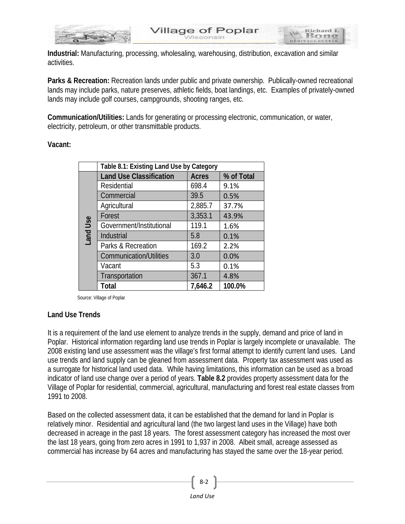

**Industrial:** Manufacturing, processing, wholesaling, warehousing, distribution, excavation and similar activities.

**Parks & Recreation:** Recreation lands under public and private ownership. Publically-owned recreational lands may include parks, nature preserves, athletic fields, boat landings, etc. Examples of privately-owned lands may include golf courses, campgrounds, shooting ranges, etc.

**Communication/Utilities:** Lands for generating or processing electronic, communication, or water, electricity, petroleum, or other transmittable products.

#### **Vacant:**

|                          | Table 8.1: Existing Land Use by Category |              |            |  |  |  |  |  |  |
|--------------------------|------------------------------------------|--------------|------------|--|--|--|--|--|--|
|                          | <b>Land Use Classification</b>           | <b>Acres</b> | % of Total |  |  |  |  |  |  |
|                          | Residential                              | 698.4        | 9.1%       |  |  |  |  |  |  |
|                          | Commercial                               | 39.5         | 0.5%       |  |  |  |  |  |  |
|                          | Agricultural                             | 2,885.7      | 37.7%      |  |  |  |  |  |  |
|                          | Forest                                   | 3,353.1      | 43.9%      |  |  |  |  |  |  |
| Use<br>Land <sup>1</sup> | Government/Institutional                 | 119.1        | 1.6%       |  |  |  |  |  |  |
|                          | Industrial                               | 5.8          | 0.1%       |  |  |  |  |  |  |
|                          | Parks & Recreation                       | 169.2        | 2.2%       |  |  |  |  |  |  |
|                          | <b>Communication/Utilities</b>           | 3.0          | 0.0%       |  |  |  |  |  |  |
|                          | Vacant                                   | 5.3          | 0.1%       |  |  |  |  |  |  |
|                          | Transportation                           | 367.1        | 4.8%       |  |  |  |  |  |  |
|                          | Total                                    | 7,646.2      | 100.0%     |  |  |  |  |  |  |

Source: Village of Poplar

# **Land Use Trends**

It is a requirement of the land use element to analyze trends in the supply, demand and price of land in Poplar. Historical information regarding land use trends in Poplar is largely incomplete or unavailable. The 2008 existing land use assessment was the village's first formal attempt to identify current land uses. Land use trends and land supply can be gleaned from assessment data. Property tax assessment was used as a surrogate for historical land used data. While having limitations, this information can be used as a broad indicator of land use change over a period of years. **Table 8.2** provides property assessment data for the Village of Poplar for residential, commercial, agricultural, manufacturing and forest real estate classes from 1991 to 2008.

Based on the collected assessment data, it can be established that the demand for land in Poplar is relatively minor. Residential and agricultural land (the two largest land uses in the Village) have both decreased in acreage in the past 18 years. The forest assessment category has increased the most over the last 18 years, going from zero acres in 1991 to 1,937 in 2008. Albeit small, acreage assessed as commercial has increase by 64 acres and manufacturing has stayed the same over the 18-year period.

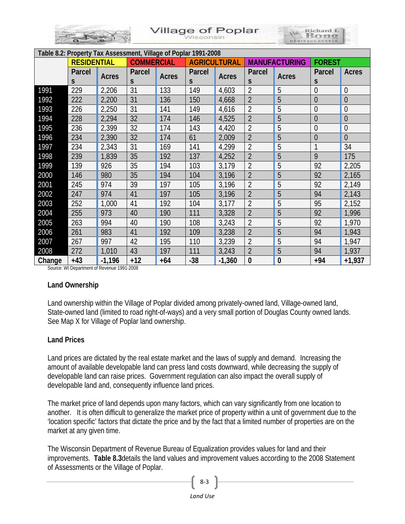|  | <b>Village of Poplar</b> | HERITAGE CENTER |
|--|--------------------------|-----------------|
|--|--------------------------|-----------------|

| Table 8.2: Property Tax Assessment, Village of Poplar 1991-2008 |                    |              |                   |       |                     |              |                      |              |                |                |
|-----------------------------------------------------------------|--------------------|--------------|-------------------|-------|---------------------|--------------|----------------------|--------------|----------------|----------------|
|                                                                 | <b>RESIDENTIAL</b> |              | <b>COMMERCIAL</b> |       | <b>AGRICULTURAL</b> |              | <b>MANUFACTURING</b> |              | <b>FOREST</b>  |                |
|                                                                 | Parcel             | <b>Acres</b> | Parcel            | Acres | Parcel              | <b>Acres</b> | Parcel               | <b>Acres</b> | Parcel         | Acres          |
|                                                                 | S.                 |              | S                 |       | S                   |              | S                    |              | S              |                |
| 1991                                                            | 229                | 2,206        | 31                | 133   | 149                 | 4,603        | $\overline{2}$       | 5            | $\overline{0}$ | $\overline{0}$ |
| 1992                                                            | 222                | 2,200        | 31                | 136   | 150                 | 4,668        | $\overline{2}$       | 5            | $\overline{0}$ | $\overline{0}$ |
| 1993                                                            | 226                | 2,250        | 31                | 141   | 149                 | 4,616        | $\overline{2}$       | 5            | $\overline{0}$ | $\overline{0}$ |
| 1994                                                            | 228                | 2,294        | 32                | 174   | 146                 | 4,525        | $\overline{2}$       | 5            | $\overline{0}$ | $\overline{0}$ |
| 1995                                                            | 236                | 2,399        | 32                | 174   | 143                 | 4,420        | $\overline{2}$       | 5            | $\overline{0}$ | $\overline{0}$ |
| 1996                                                            | 234                | 2,390        | 32                | 174   | 61                  | 2,009        | $\overline{2}$       | 5            | $\overline{0}$ | $\overline{0}$ |
| 1997                                                            | 234                | 2,343        | 31                | 169   | 141                 | 4,299        | $\overline{2}$       | 5            | $\mathbf{1}$   | 34             |
| 1998                                                            | 239                | 1,839        | 35                | 192   | 137                 | 4,252        | $\overline{2}$       | 5            | 9              | 175            |
| 1999                                                            | 139                | 926          | 35                | 194   | 103                 | 3,179        | $\overline{2}$       | 5            | 92             | 2,205          |
| 2000                                                            | 146                | 980          | 35                | 194   | 104                 | 3,196        | $\overline{2}$       | 5            | 92             | 2,165          |
| 2001                                                            | 245                | 974          | 39                | 197   | 105                 | 3,196        | $\overline{2}$       | 5            | 92             | 2,149          |
| 2002                                                            | 247                | 974          | 41                | 197   | 105                 | 3,196        | $\overline{2}$       | 5            | 94             | 2,143          |
| 2003                                                            | 252                | 1,000        | 41                | 192   | 104                 | 3,177        | $\overline{2}$       | 5            | 95             | 2,152          |
| 2004                                                            | 255                | 973          | 40                | 190   | 111                 | 3,328        | $\overline{2}$       | 5            | 92             | 1,996          |
| 2005                                                            | 263                | 994          | 40                | 190   | 108                 | 3,243        | $\overline{2}$       | 5            | 92             | 1,970          |
| 2006                                                            | 261                | 983          | 41                | 192   | 109                 | 3,238        | $\overline{2}$       | 5            | 94             | 1,943          |
| 2007                                                            | 267                | 997          | 42                | 195   | 110                 | 3,239        | $\overline{2}$       | 5            | 94             | 1,947          |
| 2008                                                            | 272                | 1,010        | 43                | 197   | 111                 | 3,243        | $\overline{2}$       | 5            | 94             | 1,937          |
| Change                                                          | $+43$              | $-1,196$     | $+12$             | +64   | $-38$               | $-1,360$     | $\mathbf{0}$         | $\bf{0}$     | $+94$          | $+1,937$       |

Source: WI Department of Revenue 1991-2008

# **Land Ownership**

Land ownership within the Village of Poplar divided among privately-owned land, Village-owned land, State-owned land (limited to road right-of-ways) and a very small portion of Douglas County owned lands. See Map X for Village of Poplar land ownership.

# **Land Prices**

Land prices are dictated by the real estate market and the laws of supply and demand. Increasing the amount of available developable land can press land costs downward, while decreasing the supply of developable land can raise prices. Government regulation can also impact the overall supply of developable land and, consequently influence land prices.

The market price of land depends upon many factors, which can vary significantly from one location to another. It is often difficult to generalize the market price of property within a unit of government due to the 'location specific' factors that dictate the price and by the fact that a limited number of properties are on the market at any given time.

The Wisconsin Department of Revenue Bureau of Equalization provides values for land and their improvements. **Table 8.3**details the land values and improvement values according to the 2008 Statement of Assessments or the Village of Poplar.

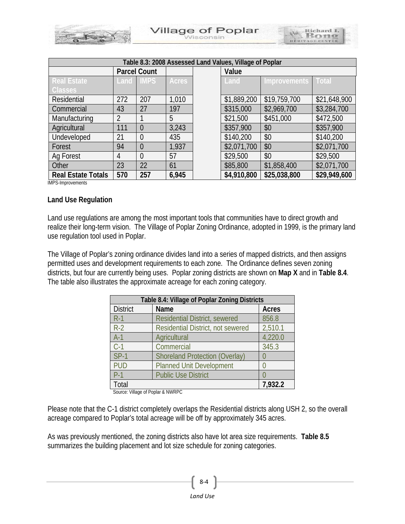| <b>Village of Poplar</b> | tichard L       |
|--------------------------|-----------------|
| <b>Nisconsin</b>         | HERITAGE CENTER |

| Table 8.3: 2008 Assessed Land Values, Village of Poplar |                     |                  |       |  |             |                           |              |  |  |
|---------------------------------------------------------|---------------------|------------------|-------|--|-------------|---------------------------|--------------|--|--|
|                                                         | <b>Parcel Count</b> |                  |       |  | Value       |                           |              |  |  |
| <b>Real Estate</b>                                      |                     | <b>Land IMPS</b> | Acres |  | Land        | <b>Improvements Total</b> |              |  |  |
| <b>Classes</b>                                          |                     |                  |       |  |             |                           |              |  |  |
| Residential                                             | 272                 | 207              | 1,010 |  | \$1,889,200 | \$19,759,700              | \$21,648,900 |  |  |
| Commercial                                              | 43                  | 27               | 197   |  | \$315,000   | \$2,969,700               | \$3,284,700  |  |  |
| Manufacturing                                           | 2                   |                  | 5     |  | \$21,500    | \$451,000                 | \$472,500    |  |  |
| Agricultural                                            | 111                 | $\theta$         | 3,243 |  | \$357,900   | \$0                       | \$357,900    |  |  |
| Undeveloped                                             | 21                  | $\theta$         | 435   |  | \$140,200   | \$0                       | \$140,200    |  |  |
| Forest                                                  | 94                  | $\theta$         | 1,937 |  | \$2,071,700 | \$0                       | \$2,071,700  |  |  |
| Ag Forest                                               | 4                   | $\theta$         | 57    |  | \$29,500    | \$0                       | \$29,500     |  |  |
| Other                                                   | 23                  | 22               | 61    |  | \$85,800    | \$1,858,400               | \$2,071,700  |  |  |
| <b>Real Estate Totals</b>                               | 570                 | 257              | 6,945 |  | \$4,910,800 | \$25,038,800              | \$29,949,600 |  |  |

IMPS-Improvements

#### **Land Use Regulation**

Land use regulations are among the most important tools that communities have to direct growth and realize their long-term vision. The Village of Poplar Zoning Ordinance, adopted in 1999, is the primary land use regulation tool used in Poplar.

The Village of Poplar's zoning ordinance divides land into a series of mapped districts, and then assigns permitted uses and development requirements to each zone. The Ordinance defines seven zoning districts, but four are currently being uses. Poplar zoning districts are shown on **Map X** and in **Table 8.4**. The table also illustrates the approximate acreage for each zoning category.

| Table 8.4: Village of Poplar Zoning Districts |                                       |         |  |  |  |  |
|-----------------------------------------------|---------------------------------------|---------|--|--|--|--|
| <b>District</b>                               | <b>Name</b>                           | Acres   |  |  |  |  |
| $R-1$                                         | <b>Residential District, sewered</b>  | 856.8   |  |  |  |  |
| $R-2$                                         | Residential District, not sewered     | 2,510.1 |  |  |  |  |
| $A-1$                                         | Agricultural                          | 4,220.0 |  |  |  |  |
| $C-1$                                         | Commercial                            | 345.3   |  |  |  |  |
| $SP-1$                                        | <b>Shoreland Protection (Overlay)</b> |         |  |  |  |  |
| <b>PUD</b>                                    | <b>Planned Unit Development</b>       |         |  |  |  |  |
| $P-1$                                         | <b>Public Use District</b>            |         |  |  |  |  |
| Total<br>Course, Ullians of Danley & MUIDDO   | 7,932.2                               |         |  |  |  |  |

Source: Village of Poplar & NWRPC

Please note that the C-1 district completely overlaps the Residential districts along USH 2, so the overall acreage compared to Poplar's total acreage will be off by approximately 345 acres.

As was previously mentioned, the zoning districts also have lot area size requirements. **Table 8.5** summarizes the building placement and lot size schedule for zoning categories.

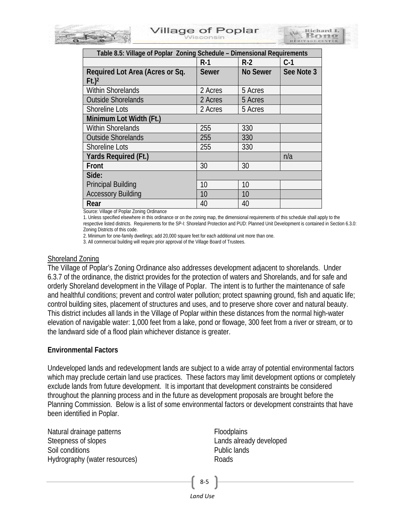

| Table 8.5: Village of Poplar Zoning Schedule - Dimensional Requirements |              |                 |            |  |  |  |  |
|-------------------------------------------------------------------------|--------------|-----------------|------------|--|--|--|--|
|                                                                         | $R-1$        | $R-2$           | C-1        |  |  |  |  |
| Required Lot Area (Acres or Sq.                                         | <b>Sewer</b> | <b>No Sewer</b> | See Note 3 |  |  |  |  |
| $Ft$ .) <sup>2</sup>                                                    |              |                 |            |  |  |  |  |
| <b>Within Shorelands</b>                                                | 2 Acres      | 5 Acres         |            |  |  |  |  |
| <b>Outside Shorelands</b>                                               | 2 Acres      | 5 Acres         |            |  |  |  |  |
| <b>Shoreline Lots</b>                                                   | 2 Acres      | 5 Acres         |            |  |  |  |  |
| Minimum Lot Width (Ft.)                                                 |              |                 |            |  |  |  |  |
| <b>Within Shorelands</b>                                                | 255          | 330             |            |  |  |  |  |
| <b>Outside Shorelands</b>                                               | 255          | 330             |            |  |  |  |  |
| <b>Shoreline Lots</b>                                                   | 255          | 330             |            |  |  |  |  |
| Yards Required (Ft.)                                                    |              |                 | n/a        |  |  |  |  |
| Front                                                                   | 30           | 30              |            |  |  |  |  |
| Side:                                                                   |              |                 |            |  |  |  |  |
| <b>Principal Building</b>                                               | 10           | 10              |            |  |  |  |  |
| <b>Accessory Building</b>                                               | 10           | 10              |            |  |  |  |  |
| Rear                                                                    | 40           | 40              |            |  |  |  |  |

Source: Village of Poplar Zoning Ordinance

1. Unless specified elsewhere in this ordinance or on the zoning map, the dimensional requirements of this schedule shall apply to the respective listed districts. Requirements for the SP-I: Shoreland Protection and PUD: Planned Unit Development is contained in Section 6.3.0: Zoning Districts of this code.

2. Minimum for one-family dwellings; add 20,000 square feet for each additional unit more than one.

3. All commercial building will require prior approval of the Village Board of Trustees.

# Shoreland Zoning

The Village of Poplar's Zoning Ordinance also addresses development adjacent to shorelands. Under 6.3.7 of the ordinance, the district provides for the protection of waters and Shorelands, and for safe and orderly Shoreland development in the Village of Poplar. The intent is to further the maintenance of safe and healthful conditions; prevent and control water pollution; protect spawning ground, fish and aquatic life; control building sites, placement of structures and uses, and to preserve shore cover and natural beauty. This district includes all lands in the Village of Poplar within these distances from the normal high-water elevation of navigable water: 1,000 feet from a lake, pond or flowage, 300 feet from a river or stream, or to the landward side of a flood plain whichever distance is greater.

#### **Environmental Factors**

Undeveloped lands and redevelopment lands are subject to a wide array of potential environmental factors which may preclude certain land use practices. These factors may limit development options or completely exclude lands from future development. It is important that development constraints be considered throughout the planning process and in the future as development proposals are brought before the Planning Commission. Below is a list of some environmental factors or development constraints that have been identified in Poplar.

Natural drainage patterns Steepness of slopes Soil conditions Hydrography (water resources) Floodplains Lands already developed Public lands Roads

*Land Use*

8-5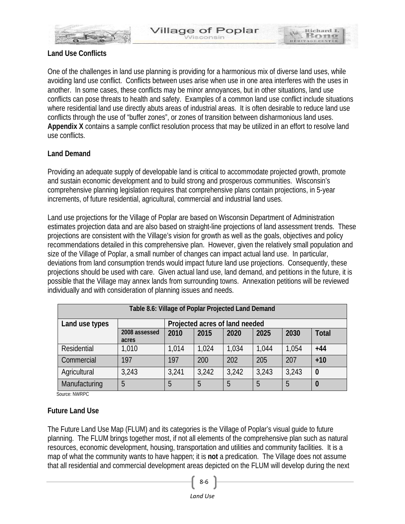

Richard I Bot

#### **Land Use Conflicts**

One of the challenges in land use planning is providing for a harmonious mix of diverse land uses, while avoiding land use conflict. Conflicts between uses arise when use in one area interferes with the uses in another. In some cases, these conflicts may be minor annoyances, but in other situations, land use conflicts can pose threats to health and safety. Examples of a common land use conflict include situations where residential land use directly abuts areas of industrial areas. It is often desirable to reduce land use conflicts through the use of "buffer zones", or zones of transition between disharmonious land uses. **Appendix X** contains a sample conflict resolution process that may be utilized in an effort to resolve land use conflicts.

#### **Land Demand**

Providing an adequate supply of developable land is critical to accommodate projected growth, promote and sustain economic development and to build strong and prosperous communities. Wisconsin's comprehensive planning legislation requires that comprehensive plans contain projections, in 5-year increments, of future residential, agricultural, commercial and industrial land uses.

Land use projections for the Village of Poplar are based on Wisconsin Department of Administration estimates projection data and are also based on straight-line projections of land assessment trends. These projections are consistent with the Village's vision for growth as well as the goals, objectives and policy recommendations detailed in this comprehensive plan. However, given the relatively small population and size of the Village of Poplar, a small number of changes can impact actual land use. In particular, deviations from land consumption trends would impact future land use projections. Consequently, these projections should be used with care. Given actual land use, land demand, and petitions in the future, it is possible that the Village may annex lands from surrounding towns. Annexation petitions will be reviewed individually and with consideration of planning issues and needs.

| Table 8.6: Village of Poplar Projected Land Demand |                                |       |       |       |       |       |              |  |  |
|----------------------------------------------------|--------------------------------|-------|-------|-------|-------|-------|--------------|--|--|
| Land use types                                     | Projected acres of land needed |       |       |       |       |       |              |  |  |
|                                                    | 2008 assessed<br>acres         | 2010  | 2015  | 2020  | 2025  | 2030  | <b>Total</b> |  |  |
| Residential                                        | 1,010                          | 1,014 | 1,024 | 1,034 | 1,044 | 1,054 | $+44$        |  |  |
| Commercial                                         | 197                            | 197   | 200   | 202   | 205   | 207   | $+10$        |  |  |
| Agricultural                                       | 3,243                          | 3,241 | 3,242 | 3,242 | 3,243 | 3,243 | $\bf{0}$     |  |  |
| Manufacturing                                      | 5                              | 5     | 5     | 5     | 5     | 5     | 0            |  |  |

Source: NWRPC

#### **Future Land Use**

The Future Land Use Map (FLUM) and its categories is the Village of Poplar's visual guide to future planning. The FLUM brings together most, if not all elements of the comprehensive plan such as natural resources, economic development, housing, transportation and utilities and community facilities. It is a map of what the community wants to have happen; it is **not** a predication. The Village does not assume that all residential and commercial development areas depicted on the FLUM will develop during the next

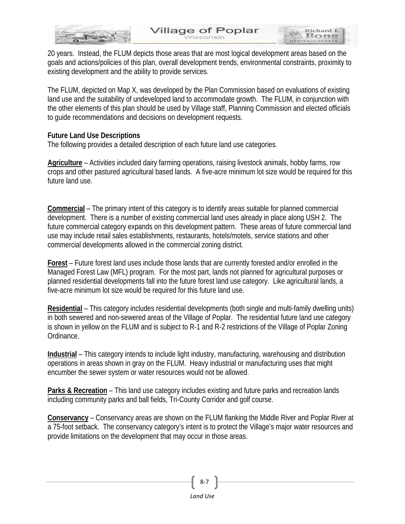

Richard I. **Bot** 

HERITAGE C

20 years. Instead, the FLUM depicts those areas that are most logical development areas based on the goals and actions/policies of this plan, overall development trends, environmental constraints, proximity to existing development and the ability to provide services.

The FLUM, depicted on Map X, was developed by the Plan Commission based on evaluations of existing land use and the suitability of undeveloped land to accommodate growth. The FLUM, in conjunction with the other elements of this plan should be used by Village staff, Planning Commission and elected officials to guide recommendations and decisions on development requests.

#### **Future Land Use Descriptions**

The following provides a detailed description of each future land use categories.

**Agriculture** – Activities included dairy farming operations, raising livestock animals, hobby farms, row crops and other pastured agricultural based lands. A five-acre minimum lot size would be required for this future land use.

**Commercial** – The primary intent of this category is to identify areas suitable for planned commercial development. There is a number of existing commercial land uses already in place along USH 2. The future commercial category expands on this development pattern. These areas of future commercial land use may include retail sales establishments, restaurants, hotels/motels, service stations and other commercial developments allowed in the commercial zoning district.

**Forest** – Future forest land uses include those lands that are currently forested and/or enrolled in the Managed Forest Law (MFL) program. For the most part, lands not planned for agricultural purposes or planned residential developments fall into the future forest land use category. Like agricultural lands, a five-acre minimum lot size would be required for this future land use.

**Residential** – This category includes residential developments (both single and multi-family dwelling units) in both sewered and non-sewered areas of the Village of Poplar. The residential future land use category is shown in yellow on the FLUM and is subject to R-1 and R-2 restrictions of the Village of Poplar Zoning Ordinance.

**Industrial** – This category intends to include light industry, manufacturing, warehousing and distribution operations in areas shown in gray on the FLUM. Heavy industrial or manufacturing uses that might encumber the sewer system or water resources would not be allowed.

**Parks & Recreation** – This land use category includes existing and future parks and recreation lands including community parks and ball fields, Tri-County Corridor and golf course.

**Conservancy** – Conservancy areas are shown on the FLUM flanking the Middle River and Poplar River at a 75-foot setback. The conservancy category's intent is to protect the Village's major water resources and provide limitations on the development that may occur in those areas.